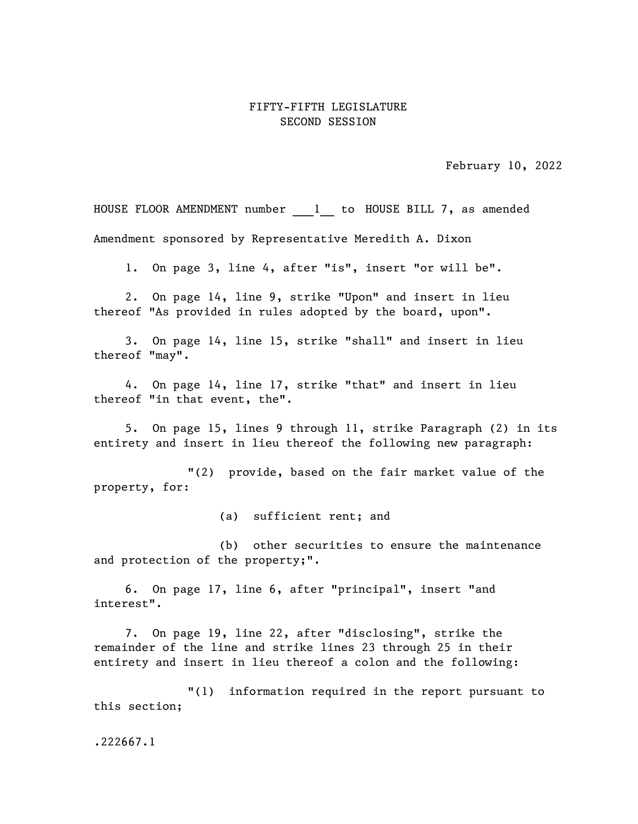## FIFTY-FIFTH LEGISLATURE SECOND SESSION

February 10, 2022

HOUSE FLOOR AMENDMENT number 1 to HOUSE BILL 7, as amended Amendment sponsored by Representative Meredith A. Dixon

1. On page 3, line 4, after "is", insert "or will be".

2. On page 14, line 9, strike "Upon" and insert in lieu thereof "As provided in rules adopted by the board, upon".

3. On page 14, line 15, strike "shall" and insert in lieu thereof "may".

4. On page 14, line 17, strike "that" and insert in lieu thereof "in that event, the".

5. On page 15, lines 9 through 11, strike Paragraph (2) in its entirety and insert in lieu thereof the following new paragraph:

"(2) provide, based on the fair market value of the property, for:

(a) sufficient rent; and

(b) other securities to ensure the maintenance and protection of the property;".

6. On page 17, line 6, after "principal", insert "and interest".

7. On page 19, line 22, after "disclosing", strike the remainder of the line and strike lines 23 through 25 in their entirety and insert in lieu thereof a colon and the following:

"(1) information required in the report pursuant to this section;

.222667.1